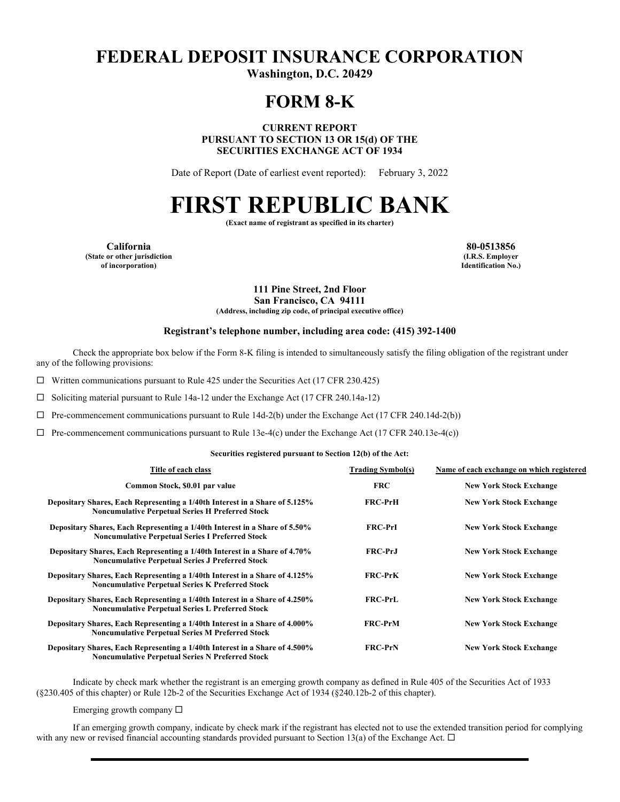# **FEDERAL DEPOSIT INSURANCE CORPORATION**

**Washington, D.C. 20429** 

## **FORM 8-K**

**CURRENT REPORT PURSUANT TO SECTION 13 OR 15(d) OF THE SECURITIES EXCHANGE ACT OF 1934** 

Date of Report (Date of earliest event reported): February 3, 2022

# **FIRST REPUBLIC BANK**

**(Exact name of registrant as specified in its charter)** 

**California 80-0513856 (State or other jurisdiction of incorporation)**

**(I.R.S. Employer Identification No.)**

**111 Pine Street, 2nd Floor San Francisco, CA 94111**

**(Address, including zip code, of principal executive office)** 

#### **Registrant's telephone number, including area code: (415) 392-1400**

Check the appropriate box below if the Form 8-K filing is intended to simultaneously satisfy the filing obligation of the registrant under any of the following provisions:

 $\Box$  Written communications pursuant to Rule 425 under the Securities Act (17 CFR 230.425)

 $\Box$  Soliciting material pursuant to Rule 14a-12 under the Exchange Act (17 CFR 240.14a-12)

 $\Box$  Pre-commencement communications pursuant to Rule 14d-2(b) under the Exchange Act (17 CFR 240.14d-2(b))

 $\Box$  Pre-commencement communications pursuant to Rule 13e-4(c) under the Exchange Act (17 CFR 240.13e-4(c))

#### **Securities registered pursuant to Section 12(b) of the Act:**

| Title of each class                                                                                                                    | <b>Trading Symbol(s)</b> | Name of each exchange on which registered |
|----------------------------------------------------------------------------------------------------------------------------------------|--------------------------|-------------------------------------------|
| Common Stock, \$0.01 par value                                                                                                         | <b>FRC</b>               | <b>New York Stock Exchange</b>            |
| Depositary Shares, Each Representing a 1/40th Interest in a Share of 5.125%<br><b>Noncumulative Perpetual Series H Preferred Stock</b> | <b>FRC-PrH</b>           | <b>New York Stock Exchange</b>            |
| Depositary Shares, Each Representing a 1/40th Interest in a Share of 5.50%<br><b>Noncumulative Perpetual Series I Preferred Stock</b>  | <b>FRC-PrI</b>           | <b>New York Stock Exchange</b>            |
| Depositary Shares, Each Representing a 1/40th Interest in a Share of 4.70%<br><b>Noncumulative Perpetual Series J Preferred Stock</b>  | <b>FRC-PrJ</b>           | <b>New York Stock Exchange</b>            |
| Depositary Shares, Each Representing a 1/40th Interest in a Share of 4.125%<br><b>Noncumulative Perpetual Series K Preferred Stock</b> | <b>FRC-PrK</b>           | <b>New York Stock Exchange</b>            |
| Depositary Shares, Each Representing a 1/40th Interest in a Share of 4.250%<br><b>Noncumulative Perpetual Series L Preferred Stock</b> | <b>FRC-PrL</b>           | <b>New York Stock Exchange</b>            |
| Depositary Shares, Each Representing a 1/40th Interest in a Share of 4.000%<br><b>Noncumulative Perpetual Series M Preferred Stock</b> | <b>FRC-PrM</b>           | <b>New York Stock Exchange</b>            |
| Depositary Shares, Each Representing a 1/40th Interest in a Share of 4.500%<br><b>Noncumulative Perpetual Series N Preferred Stock</b> | <b>FRC-PrN</b>           | <b>New York Stock Exchange</b>            |

Indicate by check mark whether the registrant is an emerging growth company as defined in Rule 405 of the Securities Act of 1933 (§230.405 of this chapter) or Rule 12b-2 of the Securities Exchange Act of 1934 (§240.12b-2 of this chapter).

Emerging growth company  $\Box$ 

If an emerging growth company, indicate by check mark if the registrant has elected not to use the extended transition period for complying with any new or revised financial accounting standards provided pursuant to Section 13(a) of the Exchange Act.  $\Box$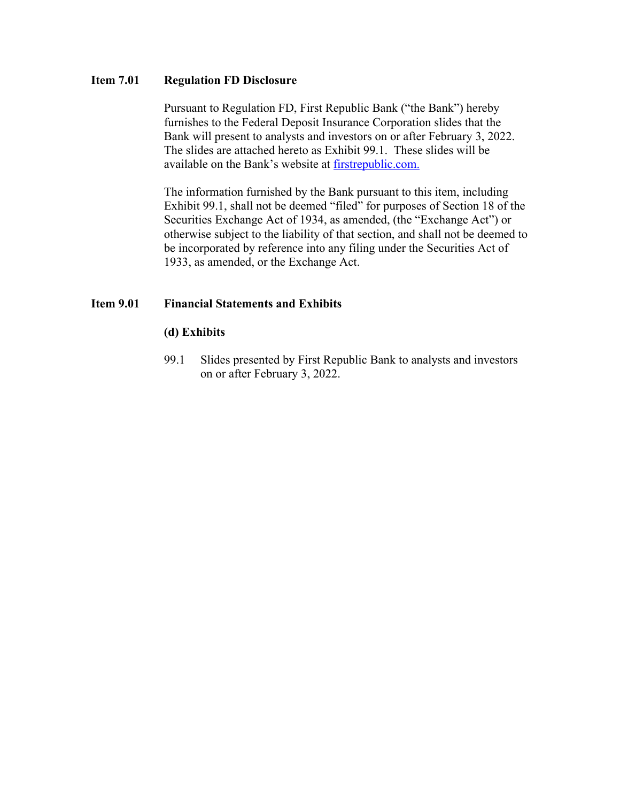## **Item 7.01 Regulation FD Disclosure**

Pursuant to Regulation FD, First Republic Bank ("the Bank") hereby furnishes to the Federal Deposit Insurance Corporation slides that the Bank will present to analysts and investors on or after February 3, 2022. The slides are attached hereto as Exhibit 99.1. These slides will be available on the Bank's website at [firstrepublic.com.](http://www.firstrepublic.com/)

The information furnished by the Bank pursuant to this item, including Exhibit 99.1, shall not be deemed "filed" for purposes of Section 18 of the Securities Exchange Act of 1934, as amended, (the "Exchange Act") or otherwise subject to the liability of that section, and shall not be deemed to be incorporated by reference into any filing under the Securities Act of 1933, as amended, or the Exchange Act.

## **Item 9.01 Financial Statements and Exhibits**

### **(d) Exhibits**

99.1 Slides presented by First Republic Bank to analysts and investors on or after February 3, 2022.